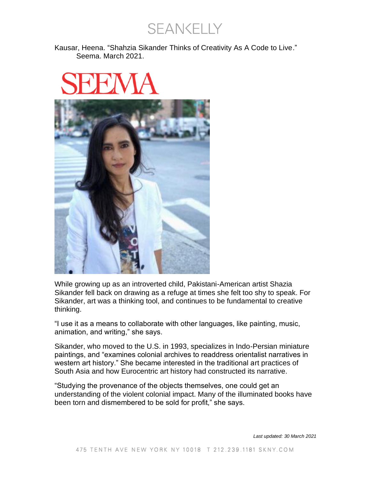SEANKELLY

Kausar, Heena. "Shahzia Sikander Thinks of Creativity As A Code to Live." Seema. March 2021.



While growing up as an introverted child, Pakistani-American artist Shazia Sikander fell back on drawing as a refuge at times she felt too shy to speak. For Sikander, art was a thinking tool, and continues to be fundamental to creative thinking.

"I use it as a means to collaborate with other languages, like painting, music, animation, and writing," she says.

Sikander, who moved to the U.S. in 1993, specializes in Indo-Persian miniature paintings, and "examines colonial archives to readdress orientalist narratives in western art history." She became interested in the traditional art practices of South Asia and how Eurocentric art history had constructed its narrative.

"Studying the provenance of the objects themselves, one could get an understanding of the violent colonial impact. Many of the illuminated books have been torn and dismembered to be sold for profit," she says.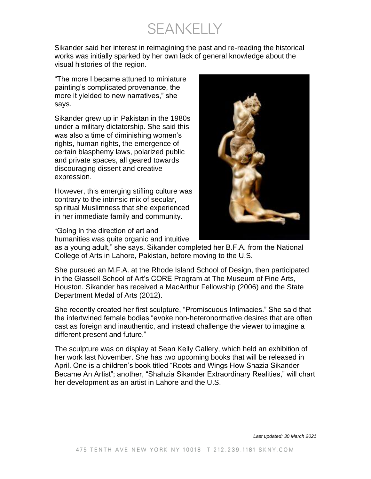**SEANKELLY** 

Sikander said her interest in reimagining the past and re-reading the historical works was initially sparked by her own lack of general knowledge about the visual histories of the region.

"The more I became attuned to miniature painting's complicated provenance, the more it yielded to new narratives," she says.

Sikander grew up in Pakistan in the 1980s under a military dictatorship. She said this was also a time of diminishing women's rights, human rights, the emergence of certain blasphemy laws, polarized public and private spaces, all geared towards discouraging dissent and creative expression.

However, this emerging stifling culture was contrary to the intrinsic mix of secular, spiritual Muslimness that she experienced in her immediate family and community.

"Going in the direction of art and humanities was quite organic and intuitive



as a young adult," she says. Sikander completed her B.F.A. from the National College of Arts in Lahore, Pakistan, before moving to the U.S.

She pursued an M.F.A. at the Rhode Island School of Design, then participated in the Glassell School of Art's CORE Program at The Museum of Fine Arts, Houston. Sikander has received a MacArthur Fellowship (2006) and the State Department Medal of Arts (2012).

She recently created her first sculpture, "Promiscuous Intimacies." She said that the intertwined female bodies "evoke non-heteronormative desires that are often cast as foreign and inauthentic, and instead challenge the viewer to imagine a different present and future."

The sculpture was on display at Sean Kelly Gallery, which held an exhibition of her work last November. She has two upcoming books that will be released in April. One is a children's book titled "Roots and Wings How Shazia Sikander Became An Artist"; another, "Shahzia Sikander Extraordinary Realities," will chart her development as an artist in Lahore and the U.S.